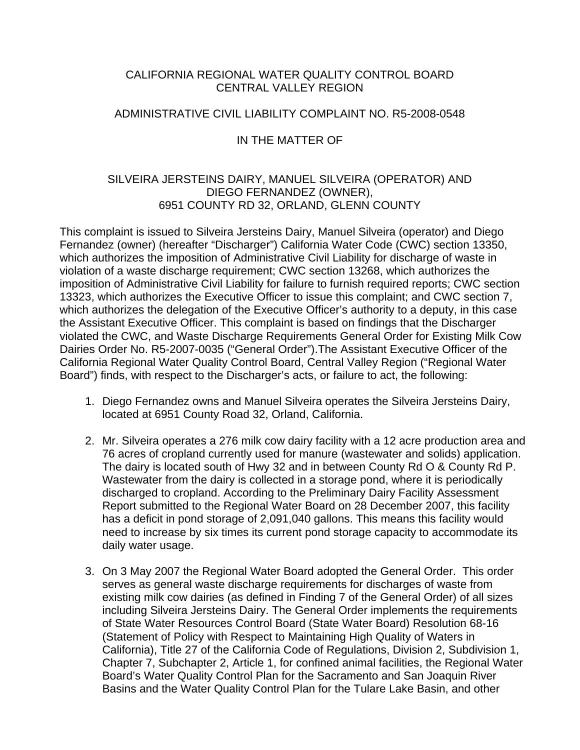### CALIFORNIA REGIONAL WATER QUALITY CONTROL BOARD CENTRAL VALLEY REGION

#### ADMINISTRATIVE CIVIL LIABILITY COMPLAINT NO. R5-2008-0548

### IN THE MATTER OF

## SILVEIRA JERSTEINS DAIRY, MANUEL SILVEIRA (OPERATOR) AND DIEGO FERNANDEZ (OWNER), 6951 COUNTY RD 32, ORLAND, GLENN COUNTY

This complaint is issued to Silveira Jersteins Dairy, Manuel Silveira (operator) and Diego Fernandez (owner) (hereafter "Discharger") California Water Code (CWC) section 13350, which authorizes the imposition of Administrative Civil Liability for discharge of waste in violation of a waste discharge requirement; CWC section 13268, which authorizes the imposition of Administrative Civil Liability for failure to furnish required reports; CWC section 13323, which authorizes the Executive Officer to issue this complaint; and CWC section 7, which authorizes the delegation of the Executive Officer's authority to a deputy, in this case the Assistant Executive Officer. This complaint is based on findings that the Discharger violated the CWC, and Waste Discharge Requirements General Order for Existing Milk Cow Dairies Order No. R5-2007-0035 ("General Order").The Assistant Executive Officer of the California Regional Water Quality Control Board, Central Valley Region ("Regional Water Board") finds, with respect to the Discharger's acts, or failure to act, the following:

- 1. Diego Fernandez owns and Manuel Silveira operates the Silveira Jersteins Dairy, located at 6951 County Road 32, Orland, California.
- 2. Mr. Silveira operates a 276 milk cow dairy facility with a 12 acre production area and 76 acres of cropland currently used for manure (wastewater and solids) application. The dairy is located south of Hwy 32 and in between County Rd O & County Rd P. Wastewater from the dairy is collected in a storage pond, where it is periodically discharged to cropland. According to the Preliminary Dairy Facility Assessment Report submitted to the Regional Water Board on 28 December 2007, this facility has a deficit in pond storage of 2,091,040 gallons. This means this facility would need to increase by six times its current pond storage capacity to accommodate its daily water usage.
- 3. On 3 May 2007 the Regional Water Board adopted the General Order. This order serves as general waste discharge requirements for discharges of waste from existing milk cow dairies (as defined in Finding 7 of the General Order) of all sizes including Silveira Jersteins Dairy. The General Order implements the requirements of State Water Resources Control Board (State Water Board) Resolution 68-16 (Statement of Policy with Respect to Maintaining High Quality of Waters in California), Title 27 of the California Code of Regulations, Division 2, Subdivision 1, Chapter 7, Subchapter 2, Article 1, for confined animal facilities, the Regional Water Board's Water Quality Control Plan for the Sacramento and San Joaquin River Basins and the Water Quality Control Plan for the Tulare Lake Basin, and other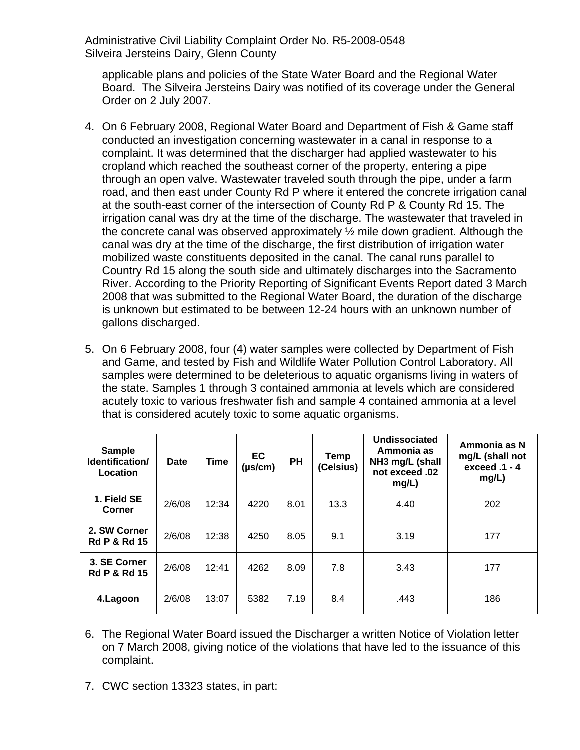applicable plans and policies of the State Water Board and the Regional Water Board. The Silveira Jersteins Dairy was notified of its coverage under the General Order on 2 July 2007.

- 4. On 6 February 2008, Regional Water Board and Department of Fish & Game staff conducted an investigation concerning wastewater in a canal in response to a complaint. It was determined that the discharger had applied wastewater to his cropland which reached the southeast corner of the property, entering a pipe through an open valve. Wastewater traveled south through the pipe, under a farm road, and then east under County Rd P where it entered the concrete irrigation canal at the south-east corner of the intersection of County Rd P & County Rd 15. The irrigation canal was dry at the time of the discharge. The wastewater that traveled in the concrete canal was observed approximately ½ mile down gradient. Although the canal was dry at the time of the discharge, the first distribution of irrigation water mobilized waste constituents deposited in the canal. The canal runs parallel to Country Rd 15 along the south side and ultimately discharges into the Sacramento River. According to the Priority Reporting of Significant Events Report dated 3 March 2008 that was submitted to the Regional Water Board, the duration of the discharge is unknown but estimated to be between 12-24 hours with an unknown number of gallons discharged.
- 5. On 6 February 2008, four (4) water samples were collected by Department of Fish and Game, and tested by Fish and Wildlife Water Pollution Control Laboratory. All samples were determined to be deleterious to aquatic organisms living in waters of the state. Samples 1 through 3 contained ammonia at levels which are considered acutely toxic to various freshwater fish and sample 4 contained ammonia at a level that is considered acutely toxic to some aquatic organisms.

| <b>Sample</b><br>Identification/<br>Location | Date   | <b>Time</b> | EC<br>$(\mu s/cm)$ | <b>PH</b> | Temp<br>(Celsius) | Undissociated<br>Ammonia as<br>NH3 mg/L (shall<br>not exceed .02<br>mg/L) | Ammonia as N<br>mg/L (shall not<br>exceed .1 - 4<br>mg/L) |
|----------------------------------------------|--------|-------------|--------------------|-----------|-------------------|---------------------------------------------------------------------------|-----------------------------------------------------------|
| 1. Field SE<br>Corner                        | 2/6/08 | 12:34       | 4220               | 8.01      | 13.3              | 4.40                                                                      | 202                                                       |
| 2. SW Corner<br><b>Rd P &amp; Rd 15</b>      | 2/6/08 | 12:38       | 4250               | 8.05      | 9.1               | 3.19                                                                      | 177                                                       |
| 3. SE Corner<br><b>Rd P &amp; Rd 15</b>      | 2/6/08 | 12:41       | 4262               | 8.09      | 7.8               | 3.43                                                                      | 177                                                       |
| 4.Lagoon                                     | 2/6/08 | 13:07       | 5382               | 7.19      | 8.4               | .443                                                                      | 186                                                       |

- 6. The Regional Water Board issued the Discharger a written Notice of Violation letter on 7 March 2008, giving notice of the violations that have led to the issuance of this complaint.
- 7. CWC section 13323 states, in part: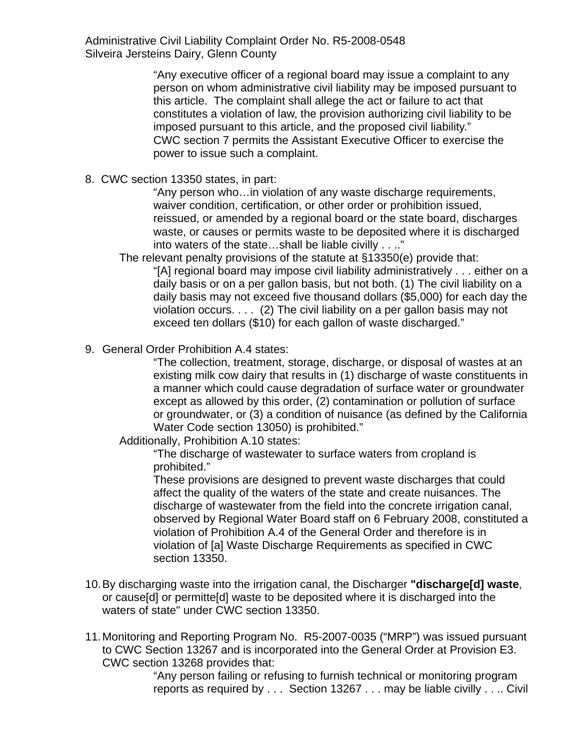> "Any executive officer of a regional board may issue a complaint to any person on whom administrative civil liability may be imposed pursuant to this article. The complaint shall allege the act or failure to act that constitutes a violation of law, the provision authorizing civil liability to be imposed pursuant to this article, and the proposed civil liability." CWC section 7 permits the Assistant Executive Officer to exercise the power to issue such a complaint.

8. CWC section 13350 states, in part:

"Any person who…in violation of any waste discharge requirements, waiver condition, certification, or other order or prohibition issued, reissued, or amended by a regional board or the state board, discharges waste, or causes or permits waste to be deposited where it is discharged into waters of the state…shall be liable civilly . . .."

The relevant penalty provisions of the statute at §13350(e) provide that:

"[A] regional board may impose civil liability administratively . . . either on a daily basis or on a per gallon basis, but not both. (1) The civil liability on a daily basis may not exceed five thousand dollars (\$5,000) for each day the violation occurs. . . . (2) The civil liability on a per gallon basis may not exceed ten dollars (\$10) for each gallon of waste discharged."

9. General Order Prohibition A.4 states:

"The collection, treatment, storage, discharge, or disposal of wastes at an existing milk cow dairy that results in (1) discharge of waste constituents in a manner which could cause degradation of surface water or groundwater except as allowed by this order, (2) contamination or pollution of surface or groundwater, or (3) a condition of nuisance (as defined by the California Water Code section 13050) is prohibited."

Additionally, Prohibition A.10 states:

"The discharge of wastewater to surface waters from cropland is prohibited."

These provisions are designed to prevent waste discharges that could affect the quality of the waters of the state and create nuisances. The discharge of wastewater from the field into the concrete irrigation canal, observed by Regional Water Board staff on 6 February 2008, constituted a violation of Prohibition A.4 of the General Order and therefore is in violation of [a] Waste Discharge Requirements as specified in CWC section 13350.

- 10. By discharging waste into the irrigation canal, the Discharger **"discharge[d] waste**, or cause[d] or permitte[d] waste to be deposited where it is discharged into the waters of state" under CWC section 13350.
- 11. Monitoring and Reporting Program No. R5-2007-0035 ("MRP") was issued pursuant to CWC Section 13267 and is incorporated into the General Order at Provision E3. CWC section 13268 provides that:

"Any person failing or refusing to furnish technical or monitoring program reports as required by . . . Section 13267 . . . may be liable civilly . . .. Civil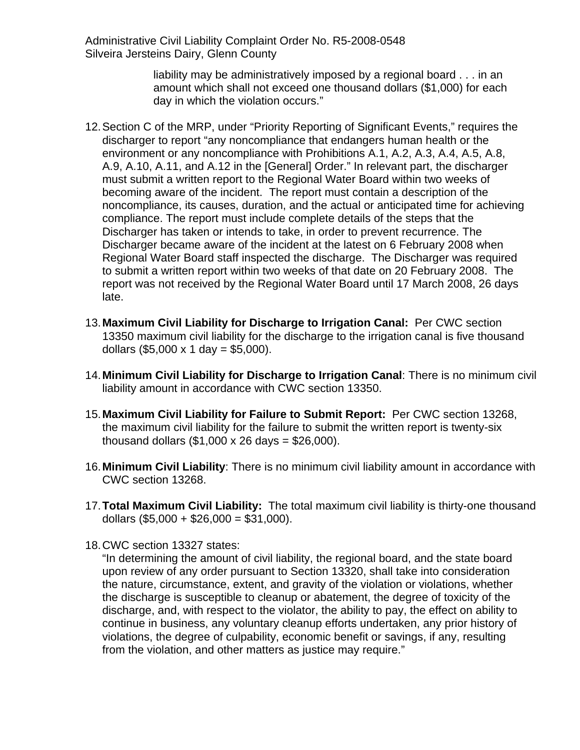> liability may be administratively imposed by a regional board . . . in an amount which shall not exceed one thousand dollars (\$1,000) for each day in which the violation occurs."

- 12. Section C of the MRP, under "Priority Reporting of Significant Events," requires the discharger to report "any noncompliance that endangers human health or the environment or any noncompliance with Prohibitions A.1, A.2, A.3, A.4, A.5, A.8, A.9, A.10, A.11, and A.12 in the [General] Order." In relevant part, the discharger must submit a written report to the Regional Water Board within two weeks of becoming aware of the incident. The report must contain a description of the noncompliance, its causes, duration, and the actual or anticipated time for achieving compliance. The report must include complete details of the steps that the Discharger has taken or intends to take, in order to prevent recurrence. The Discharger became aware of the incident at the latest on 6 February 2008 when Regional Water Board staff inspected the discharge. The Discharger was required to submit a written report within two weeks of that date on 20 February 2008. The report was not received by the Regional Water Board until 17 March 2008, 26 days late.
- 13.**Maximum Civil Liability for Discharge to Irrigation Canal:** Per CWC section 13350 maximum civil liability for the discharge to the irrigation canal is five thousand dollars  $(\$5,000 \times 1$  day = \$5,000).
- 14.**Minimum Civil Liability for Discharge to Irrigation Canal**: There is no minimum civil liability amount in accordance with CWC section 13350.
- 15.**Maximum Civil Liability for Failure to Submit Report:** Per CWC section 13268, the maximum civil liability for the failure to submit the written report is twenty-six thousand dollars  $(\$1,000 \times 26 \text{ days} = \$26,000$ ).
- 16.**Minimum Civil Liability**: There is no minimum civil liability amount in accordance with CWC section 13268.
- 17.**Total Maximum Civil Liability:** The total maximum civil liability is thirty-one thousand dollars  $(\$5,000 + \$26,000 = \$31,000)$ .
- 18. CWC section 13327 states:

"In determining the amount of civil liability, the regional board, and the state board upon review of any order pursuant to Section 13320, shall take into consideration the nature, circumstance, extent, and gravity of the violation or violations, whether the discharge is susceptible to cleanup or abatement, the degree of toxicity of the discharge, and, with respect to the violator, the ability to pay, the effect on ability to continue in business, any voluntary cleanup efforts undertaken, any prior history of violations, the degree of culpability, economic benefit or savings, if any, resulting from the violation, and other matters as justice may require."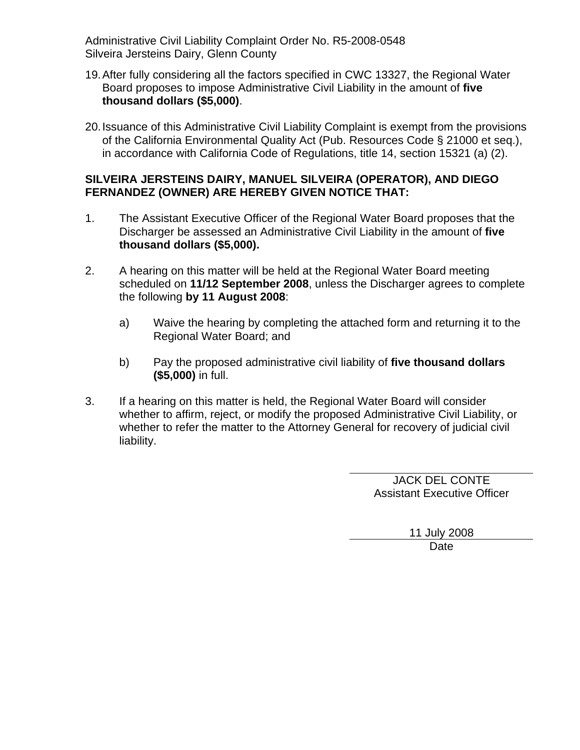- 19. After fully considering all the factors specified in CWC 13327, the Regional Water Board proposes to impose Administrative Civil Liability in the amount of **five thousand dollars (\$5,000)**.
- 20. Issuance of this Administrative Civil Liability Complaint is exempt from the provisions of the California Environmental Quality Act (Pub. Resources Code § 21000 et seq.), in accordance with California Code of Regulations, title 14, section 15321 (a) (2).

# **SILVEIRA JERSTEINS DAIRY, MANUEL SILVEIRA (OPERATOR), AND DIEGO FERNANDEZ (OWNER) ARE HEREBY GIVEN NOTICE THAT:**

- 1. The Assistant Executive Officer of the Regional Water Board proposes that the Discharger be assessed an Administrative Civil Liability in the amount of **five thousand dollars (\$5,000).**
- 2. A hearing on this matter will be held at the Regional Water Board meeting scheduled on **11/12 September 2008**, unless the Discharger agrees to complete the following **by 11 August 2008**:
	- a) Waive the hearing by completing the attached form and returning it to the Regional Water Board; and
	- b) Pay the proposed administrative civil liability of **five thousand dollars (\$5,000)** in full.
- 3. If a hearing on this matter is held, the Regional Water Board will consider whether to affirm, reject, or modify the proposed Administrative Civil Liability, or whether to refer the matter to the Attorney General for recovery of judicial civil liability.

JACK DEL CONTE Assistant Executive Officer

> 11 July 2008 Date